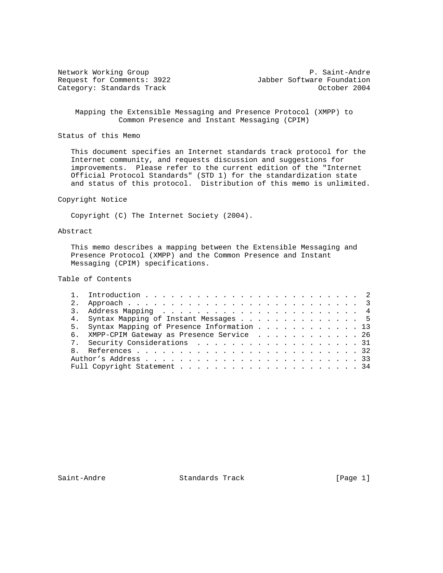Category: Standards Track

Network Working Group P. Saint-Andre Request for Comments: 3922<br>Category: Standards Track and Jabber Software Foundation<br>October 2004

 Mapping the Extensible Messaging and Presence Protocol (XMPP) to Common Presence and Instant Messaging (CPIM)

Status of this Memo

 This document specifies an Internet standards track protocol for the Internet community, and requests discussion and suggestions for improvements. Please refer to the current edition of the "Internet Official Protocol Standards" (STD 1) for the standardization state and status of this protocol. Distribution of this memo is unlimited.

## Copyright Notice

Copyright (C) The Internet Society (2004).

## Abstract

 This memo describes a mapping between the Extensible Messaging and Presence Protocol (XMPP) and the Common Presence and Instant Messaging (CPIM) specifications.

Table of Contents

| 4. Syntax Mapping of Instant Messages 5      |
|----------------------------------------------|
| 5. Syntax Mapping of Presence Information 13 |
| 6. XMPP-CPIM Gateway as Presence Service 26  |
| 7. Security Considerations 31                |
|                                              |
|                                              |
|                                              |

Saint-Andre Standards Track [Page 1]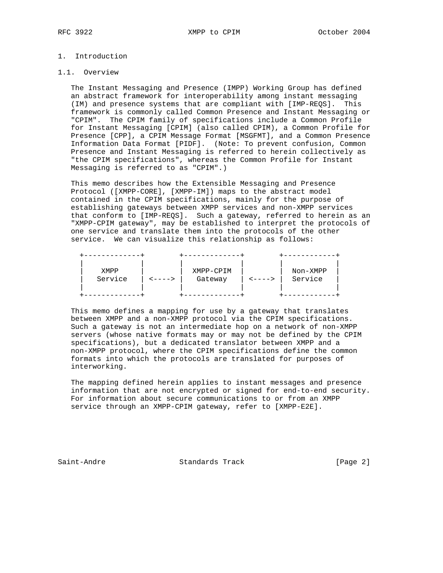## 1. Introduction

## 1.1. Overview

 The Instant Messaging and Presence (IMPP) Working Group has defined an abstract framework for interoperability among instant messaging (IM) and presence systems that are compliant with [IMP-REQS]. This framework is commonly called Common Presence and Instant Messaging or "CPIM". The CPIM family of specifications include a Common Profile for Instant Messaging [CPIM] (also called CPIM), a Common Profile for Presence [CPP], a CPIM Message Format [MSGFMT], and a Common Presence Information Data Format [PIDF]. (Note: To prevent confusion, Common Presence and Instant Messaging is referred to herein collectively as "the CPIM specifications", whereas the Common Profile for Instant Messaging is referred to as "CPIM".)

 This memo describes how the Extensible Messaging and Presence Protocol ([XMPP-CORE], [XMPP-IM]) maps to the abstract model contained in the CPIM specifications, mainly for the purpose of establishing gateways between XMPP services and non-XMPP services that conform to [IMP-REQS]. Such a gateway, referred to herein as an "XMPP-CPIM gateway", may be established to interpret the protocols of one service and translate them into the protocols of the other service. We can visualize this relationship as follows:

| XMPP<br>Service | $\left\langle - - - - \right\rangle$ | XMPP-CPIM<br>Gateway | $\leftarrow$ $- >$ | Non-XMPP<br>Service |  |
|-----------------|--------------------------------------|----------------------|--------------------|---------------------|--|
|                 |                                      |                      |                    |                     |  |

 This memo defines a mapping for use by a gateway that translates between XMPP and a non-XMPP protocol via the CPIM specifications. Such a gateway is not an intermediate hop on a network of non-XMPP servers (whose native formats may or may not be defined by the CPIM specifications), but a dedicated translator between XMPP and a non-XMPP protocol, where the CPIM specifications define the common formats into which the protocols are translated for purposes of interworking.

 The mapping defined herein applies to instant messages and presence information that are not encrypted or signed for end-to-end security. For information about secure communications to or from an XMPP service through an XMPP-CPIM gateway, refer to [XMPP-E2E].

Saint-Andre Standards Track [Page 2]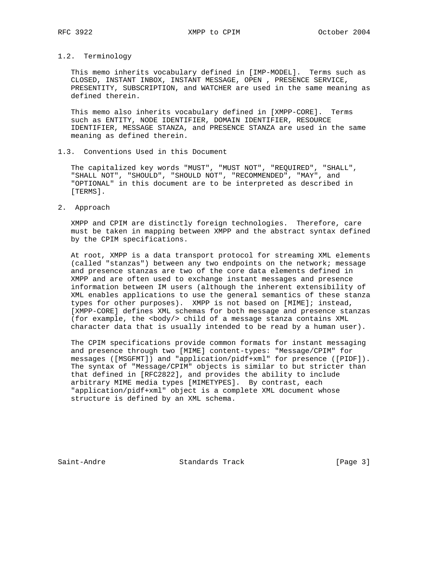## 1.2. Terminology

 This memo inherits vocabulary defined in [IMP-MODEL]. Terms such as CLOSED, INSTANT INBOX, INSTANT MESSAGE, OPEN , PRESENCE SERVICE, PRESENTITY, SUBSCRIPTION, and WATCHER are used in the same meaning as defined therein.

 This memo also inherits vocabulary defined in [XMPP-CORE]. Terms such as ENTITY, NODE IDENTIFIER, DOMAIN IDENTIFIER, RESOURCE IDENTIFIER, MESSAGE STANZA, and PRESENCE STANZA are used in the same meaning as defined therein.

1.3. Conventions Used in this Document

 The capitalized key words "MUST", "MUST NOT", "REQUIRED", "SHALL", "SHALL NOT", "SHOULD", "SHOULD NOT", "RECOMMENDED", "MAY", and "OPTIONAL" in this document are to be interpreted as described in [TERMS].

2. Approach

 XMPP and CPIM are distinctly foreign technologies. Therefore, care must be taken in mapping between XMPP and the abstract syntax defined by the CPIM specifications.

 At root, XMPP is a data transport protocol for streaming XML elements (called "stanzas") between any two endpoints on the network; message and presence stanzas are two of the core data elements defined in XMPP and are often used to exchange instant messages and presence information between IM users (although the inherent extensibility of XML enables applications to use the general semantics of these stanza types for other purposes). XMPP is not based on [MIME]; instead, [XMPP-CORE] defines XML schemas for both message and presence stanzas (for example, the <br/>body/> child of a message stanza contains XML character data that is usually intended to be read by a human user).

 The CPIM specifications provide common formats for instant messaging and presence through two [MIME] content-types: "Message/CPIM" for messages ([MSGFMT]) and "application/pidf+xml" for presence ([PIDF]). The syntax of "Message/CPIM" objects is similar to but stricter than that defined in [RFC2822], and provides the ability to include arbitrary MIME media types [MIMETYPES]. By contrast, each "application/pidf+xml" object is a complete XML document whose structure is defined by an XML schema.

Saint-Andre Standards Track [Page 3]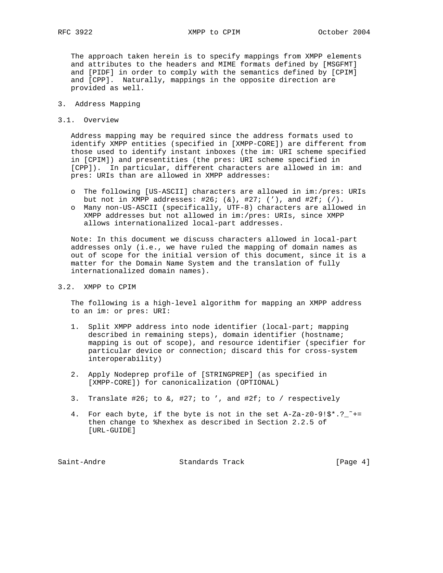The approach taken herein is to specify mappings from XMPP elements and attributes to the headers and MIME formats defined by [MSGFMT] and [PIDF] in order to comply with the semantics defined by [CPIM] and [CPP]. Naturally, mappings in the opposite direction are provided as well.

- 3. Address Mapping
- 3.1. Overview

 Address mapping may be required since the address formats used to identify XMPP entities (specified in [XMPP-CORE]) are different from those used to identify instant inboxes (the im: URI scheme specified in [CPIM]) and presentities (the pres: URI scheme specified in [CPP]). In particular, different characters are allowed in im: and pres: URIs than are allowed in XMPP addresses:

- o The following [US-ASCII] characters are allowed in im:/pres: URIs but not in XMPP addresses: #26;  $(\&)$ , #27;  $(')$ , and #2f;  $(')$ .
- o Many non-US-ASCII (specifically, UTF-8) characters are allowed in XMPP addresses but not allowed in im:/pres: URIs, since XMPP allows internationalized local-part addresses.

 Note: In this document we discuss characters allowed in local-part addresses only (i.e., we have ruled the mapping of domain names as out of scope for the initial version of this document, since it is a matter for the Domain Name System and the translation of fully internationalized domain names).

3.2. XMPP to CPIM

 The following is a high-level algorithm for mapping an XMPP address to an im: or pres: URI:

- 1. Split XMPP address into node identifier (local-part; mapping described in remaining steps), domain identifier (hostname; mapping is out of scope), and resource identifier (specifier for particular device or connection; discard this for cross-system interoperability)
- 2. Apply Nodeprep profile of [STRINGPREP] (as specified in [XMPP-CORE]) for canonicalization (OPTIONAL)
- 3. Translate #26; to &, #27; to ', and #2f; to / respectively
- 4. For each byte, if the byte is not in the set  $A-Za-z0-9!$ \$\*.?\_ $\tilde{f}$  += then change to %hexhex as described in Section 2.2.5 of [URL-GUIDE]

Saint-Andre Standards Track [Page 4]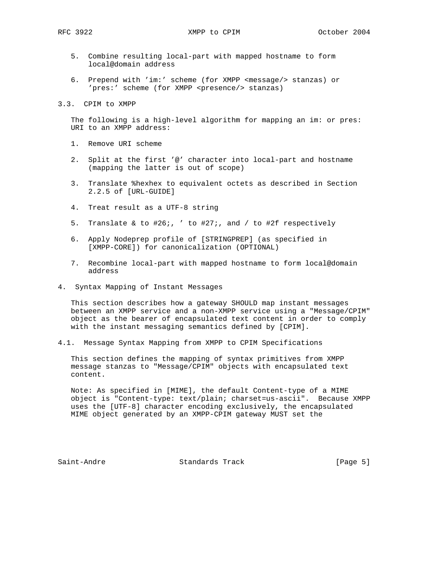- 5. Combine resulting local-part with mapped hostname to form local@domain address
- 6. Prepend with 'im:' scheme (for XMPP <message/> stanzas) or 'pres:' scheme (for XMPP <presence/> stanzas)

3.3. CPIM to XMPP

 The following is a high-level algorithm for mapping an im: or pres: URI to an XMPP address:

- 1. Remove URI scheme
- 2. Split at the first '@' character into local-part and hostname (mapping the latter is out of scope)
- 3. Translate %hexhex to equivalent octets as described in Section 2.2.5 of [URL-GUIDE]
- 4. Treat result as a UTF-8 string
- 5. Translate & to #26;, ' to #27;, and / to #2f respectively
- 6. Apply Nodeprep profile of [STRINGPREP] (as specified in [XMPP-CORE]) for canonicalization (OPTIONAL)
- 7. Recombine local-part with mapped hostname to form local@domain address
- 4. Syntax Mapping of Instant Messages

 This section describes how a gateway SHOULD map instant messages between an XMPP service and a non-XMPP service using a "Message/CPIM" object as the bearer of encapsulated text content in order to comply with the instant messaging semantics defined by [CPIM].

4.1. Message Syntax Mapping from XMPP to CPIM Specifications

 This section defines the mapping of syntax primitives from XMPP message stanzas to "Message/CPIM" objects with encapsulated text content.

 Note: As specified in [MIME], the default Content-type of a MIME object is "Content-type: text/plain; charset=us-ascii". Because XMPP uses the [UTF-8] character encoding exclusively, the encapsulated MIME object generated by an XMPP-CPIM gateway MUST set the

Saint-Andre Standards Track [Page 5]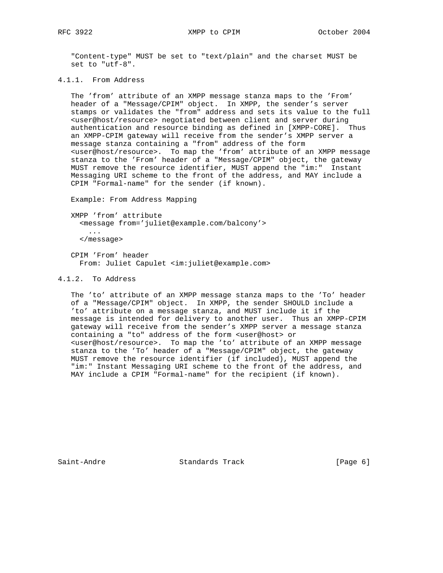RFC 3922 XMPP to CPIM October 2004

 "Content-type" MUST be set to "text/plain" and the charset MUST be set to "utf-8".

4.1.1. From Address

 The 'from' attribute of an XMPP message stanza maps to the 'From' header of a "Message/CPIM" object. In XMPP, the sender's server stamps or validates the "from" address and sets its value to the full <user@host/resource> negotiated between client and server during authentication and resource binding as defined in [XMPP-CORE]. Thus an XMPP-CPIM gateway will receive from the sender's XMPP server a message stanza containing a "from" address of the form <user@host/resource>. To map the 'from' attribute of an XMPP message stanza to the 'From' header of a "Message/CPIM" object, the gateway MUST remove the resource identifier, MUST append the "im:" Instant Messaging URI scheme to the front of the address, and MAY include a CPIM "Formal-name" for the sender (if known).

Example: From Address Mapping

 XMPP 'from' attribute <message from='juliet@example.com/balcony'> ... </message>

 CPIM 'From' header From: Juliet Capulet <im:juliet@example.com>

## 4.1.2. To Address

 The 'to' attribute of an XMPP message stanza maps to the 'To' header of a "Message/CPIM" object. In XMPP, the sender SHOULD include a 'to' attribute on a message stanza, and MUST include it if the message is intended for delivery to another user. Thus an XMPP-CPIM gateway will receive from the sender's XMPP server a message stanza containing a "to" address of the form <user@host> or <user@host/resource>. To map the 'to' attribute of an XMPP message stanza to the 'To' header of a "Message/CPIM" object, the gateway MUST remove the resource identifier (if included), MUST append the "im:" Instant Messaging URI scheme to the front of the address, and MAY include a CPIM "Formal-name" for the recipient (if known).

Saint-Andre Standards Track [Page 6]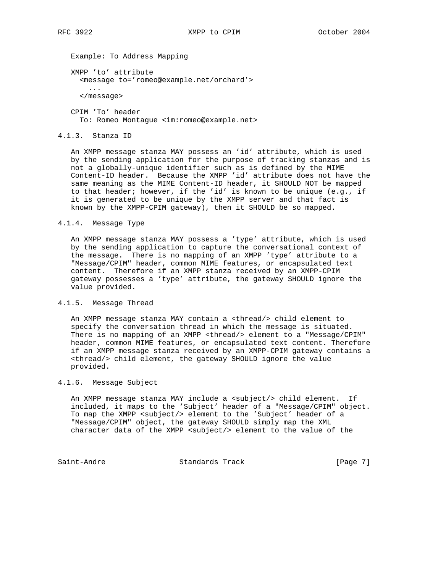Example: To Address Mapping

 XMPP 'to' attribute <message to='romeo@example.net/orchard'> ... </message>

 CPIM 'To' header To: Romeo Montague <im:romeo@example.net>

4.1.3. Stanza ID

 An XMPP message stanza MAY possess an 'id' attribute, which is used by the sending application for the purpose of tracking stanzas and is not a globally-unique identifier such as is defined by the MIME Content-ID header. Because the XMPP 'id' attribute does not have the same meaning as the MIME Content-ID header, it SHOULD NOT be mapped to that header; however, if the 'id' is known to be unique (e.g., if it is generated to be unique by the XMPP server and that fact is known by the XMPP-CPIM gateway), then it SHOULD be so mapped.

#### 4.1.4. Message Type

 An XMPP message stanza MAY possess a 'type' attribute, which is used by the sending application to capture the conversational context of the message. There is no mapping of an XMPP 'type' attribute to a "Message/CPIM" header, common MIME features, or encapsulated text content. Therefore if an XMPP stanza received by an XMPP-CPIM gateway possesses a 'type' attribute, the gateway SHOULD ignore the value provided.

## 4.1.5. Message Thread

 An XMPP message stanza MAY contain a <thread/> child element to specify the conversation thread in which the message is situated. There is no mapping of an XMPP <thread/> element to a "Message/CPIM" header, common MIME features, or encapsulated text content. Therefore if an XMPP message stanza received by an XMPP-CPIM gateway contains a <thread/> child element, the gateway SHOULD ignore the value provided.

## 4.1.6. Message Subject

 An XMPP message stanza MAY include a <subject/> child element. If included, it maps to the 'Subject' header of a "Message/CPIM" object. To map the XMPP <subject/> element to the 'Subject' header of a "Message/CPIM" object, the gateway SHOULD simply map the XML character data of the XMPP <subject/> element to the value of the

Saint-Andre Standards Track [Page 7]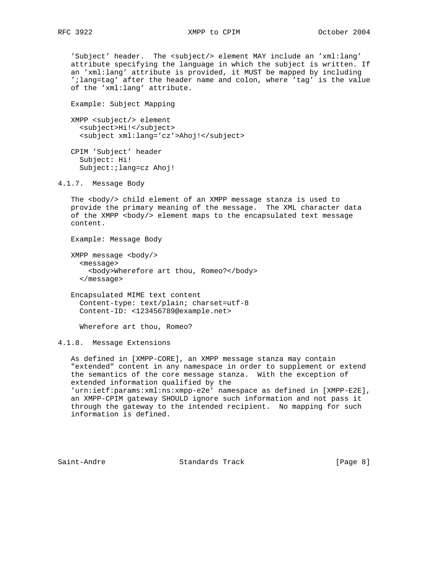RFC 3922 XMPP to CPIM October 2004

 'Subject' header. The <subject/> element MAY include an 'xml:lang' attribute specifying the language in which the subject is written. If an 'xml:lang' attribute is provided, it MUST be mapped by including ';lang=tag' after the header name and colon, where 'tag' is the value of the 'xml:lang' attribute.

Example: Subject Mapping

 XMPP <subject/> element <subject>Hi!</subject> <subject xml:lang='cz'>Ahoj!</subject>

 CPIM 'Subject' header Subject: Hi! Subject:;lang=cz Ahoj!

4.1.7. Message Body

The <body/> child element of an XMPP message stanza is used to provide the primary meaning of the message. The XML character data of the XMPP <body/> element maps to the encapsulated text message content.

Example: Message Body

 $XMPP$  message <br/>body/> <message> <body>Wherefore art thou, Romeo?</body> </message>

 Encapsulated MIME text content Content-type: text/plain; charset=utf-8 Content-ID: <123456789@example.net>

Wherefore art thou, Romeo?

4.1.8. Message Extensions

 As defined in [XMPP-CORE], an XMPP message stanza may contain "extended" content in any namespace in order to supplement or extend the semantics of the core message stanza. With the exception of extended information qualified by the 'urn:ietf:params:xml:ns:xmpp-e2e' namespace as defined in [XMPP-E2E], an XMPP-CPIM gateway SHOULD ignore such information and not pass it through the gateway to the intended recipient. No mapping for such information is defined.

Saint-Andre Standards Track [Page 8]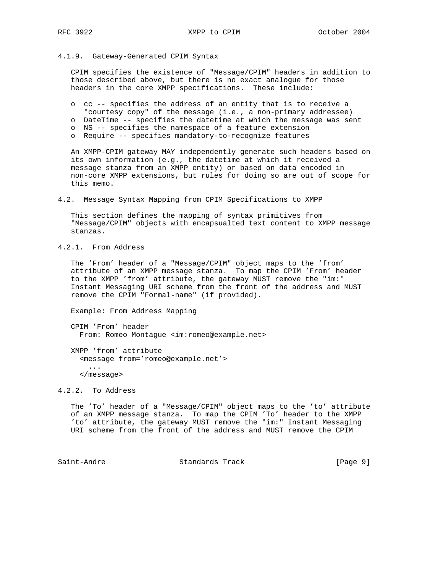#### 4.1.9. Gateway-Generated CPIM Syntax

 CPIM specifies the existence of "Message/CPIM" headers in addition to those described above, but there is no exact analogue for those headers in the core XMPP specifications. These include:

- o cc -- specifies the address of an entity that is to receive a
- "courtesy copy" of the message (i.e., a non-primary addressee)
- o DateTime -- specifies the datetime at which the message was sent
- o NS -- specifies the namespace of a feature extension
- o Require -- specifies mandatory-to-recognize features

 An XMPP-CPIM gateway MAY independently generate such headers based on its own information (e.g., the datetime at which it received a message stanza from an XMPP entity) or based on data encoded in non-core XMPP extensions, but rules for doing so are out of scope for this memo.

4.2. Message Syntax Mapping from CPIM Specifications to XMPP

 This section defines the mapping of syntax primitives from "Message/CPIM" objects with encapsualted text content to XMPP message stanzas.

4.2.1. From Address

 The 'From' header of a "Message/CPIM" object maps to the 'from' attribute of an XMPP message stanza. To map the CPIM 'From' header to the XMPP 'from' attribute, the gateway MUST remove the "im:" Instant Messaging URI scheme from the front of the address and MUST remove the CPIM "Formal-name" (if provided).

Example: From Address Mapping

 CPIM 'From' header From: Romeo Montague <im:romeo@example.net>

 XMPP 'from' attribute <message from='romeo@example.net'> ... </message>

4.2.2. To Address

 The 'To' header of a "Message/CPIM" object maps to the 'to' attribute of an XMPP message stanza. To map the CPIM 'To' header to the XMPP 'to' attribute, the gateway MUST remove the "im:" Instant Messaging URI scheme from the front of the address and MUST remove the CPIM

Saint-Andre Standards Track [Page 9]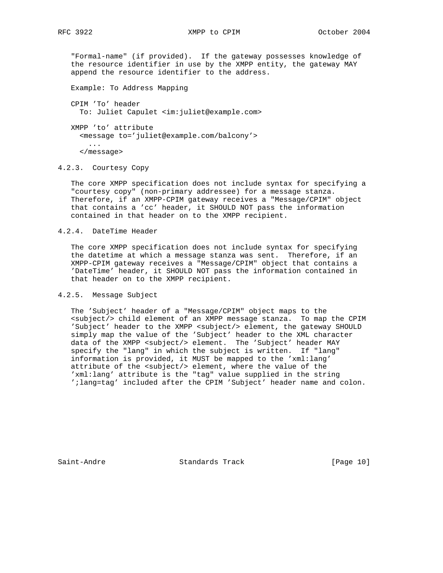"Formal-name" (if provided). If the gateway possesses knowledge of the resource identifier in use by the XMPP entity, the gateway MAY append the resource identifier to the address.

Example: To Address Mapping

 CPIM 'To' header To: Juliet Capulet <im:juliet@example.com>

 XMPP 'to' attribute <message to='juliet@example.com/balcony'> ... </message>

4.2.3. Courtesy Copy

 The core XMPP specification does not include syntax for specifying a "courtesy copy" (non-primary addressee) for a message stanza. Therefore, if an XMPP-CPIM gateway receives a "Message/CPIM" object that contains a 'cc' header, it SHOULD NOT pass the information contained in that header on to the XMPP recipient.

4.2.4. DateTime Header

 The core XMPP specification does not include syntax for specifying the datetime at which a message stanza was sent. Therefore, if an XMPP-CPIM gateway receives a "Message/CPIM" object that contains a 'DateTime' header, it SHOULD NOT pass the information contained in that header on to the XMPP recipient.

4.2.5. Message Subject

 The 'Subject' header of a "Message/CPIM" object maps to the <subject/> child element of an XMPP message stanza. To map the CPIM 'Subject' header to the XMPP <subject/> element, the gateway SHOULD simply map the value of the 'Subject' header to the XML character data of the XMPP <subject/> element. The 'Subject' header MAY specify the "lang" in which the subject is written. If "lang" information is provided, it MUST be mapped to the 'xml:lang' attribute of the <subject/> element, where the value of the 'xml:lang' attribute is the "tag" value supplied in the string ';lang=tag' included after the CPIM 'Subject' header name and colon.

Saint-Andre Standards Track [Page 10]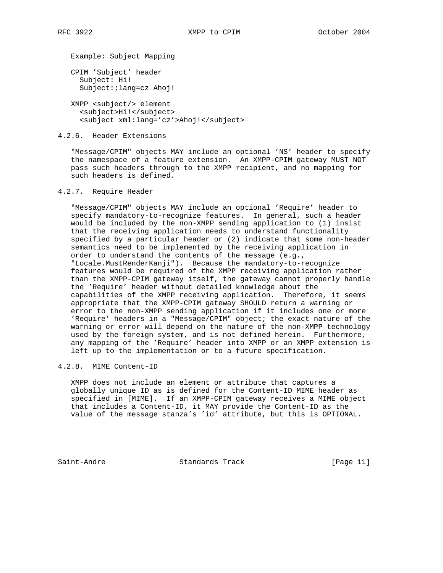Example: Subject Mapping

 CPIM 'Subject' header Subject: Hi! Subject:;lang=cz Ahoj!

 XMPP <subject/> element <subject>Hi!</subject> <subject xml:lang='cz'>Ahoj!</subject>

## 4.2.6. Header Extensions

 "Message/CPIM" objects MAY include an optional 'NS' header to specify the namespace of a feature extension. An XMPP-CPIM gateway MUST NOT pass such headers through to the XMPP recipient, and no mapping for such headers is defined.

## 4.2.7. Require Header

 "Message/CPIM" objects MAY include an optional 'Require' header to specify mandatory-to-recognize features. In general, such a header would be included by the non-XMPP sending application to (1) insist that the receiving application needs to understand functionality specified by a particular header or (2) indicate that some non-header semantics need to be implemented by the receiving application in order to understand the contents of the message (e.g., "Locale.MustRenderKanji"). Because the mandatory-to-recognize features would be required of the XMPP receiving application rather than the XMPP-CPIM gateway itself, the gateway cannot properly handle the 'Require' header without detailed knowledge about the capabilities of the XMPP receiving application. Therefore, it seems appropriate that the XMPP-CPIM gateway SHOULD return a warning or error to the non-XMPP sending application if it includes one or more 'Require' headers in a "Message/CPIM" object; the exact nature of the warning or error will depend on the nature of the non-XMPP technology used by the foreign system, and is not defined herein. Furthermore, any mapping of the 'Require' header into XMPP or an XMPP extension is left up to the implementation or to a future specification.

## 4.2.8. MIME Content-ID

 XMPP does not include an element or attribute that captures a globally unique ID as is defined for the Content-ID MIME header as specified in [MIME]. If an XMPP-CPIM gateway receives a MIME object that includes a Content-ID, it MAY provide the Content-ID as the value of the message stanza's 'id' attribute, but this is OPTIONAL.

Saint-Andre Standards Track [Page 11]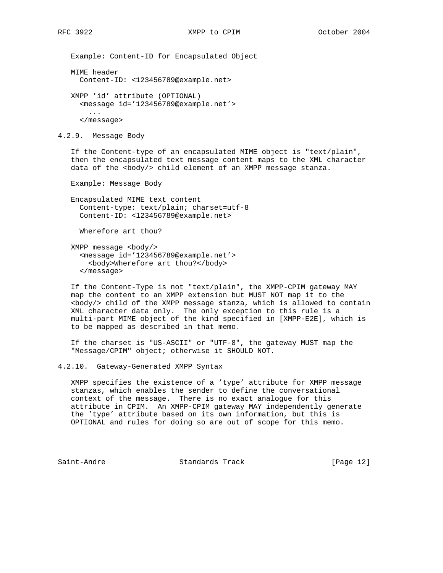Example: Content-ID for Encapsulated Object MIME header Content-ID: <123456789@example.net> XMPP 'id' attribute (OPTIONAL)

 <message id='123456789@example.net'> ... </message>

4.2.9. Message Body

 If the Content-type of an encapsulated MIME object is "text/plain", then the encapsulated text message content maps to the XML character data of the <body/> child element of an XMPP message stanza.

Example: Message Body

 Encapsulated MIME text content Content-type: text/plain; charset=utf-8 Content-ID: <123456789@example.net>

Wherefore art thou?

 XMPP message <body/> <message id='123456789@example.net'> <body>Wherefore art thou?</body> </message>

 If the Content-Type is not "text/plain", the XMPP-CPIM gateway MAY map the content to an XMPP extension but MUST NOT map it to the <body/> child of the XMPP message stanza, which is allowed to contain XML character data only. The only exception to this rule is a multi-part MIME object of the kind specified in [XMPP-E2E], which is to be mapped as described in that memo.

 If the charset is "US-ASCII" or "UTF-8", the gateway MUST map the "Message/CPIM" object; otherwise it SHOULD NOT.

4.2.10. Gateway-Generated XMPP Syntax

 XMPP specifies the existence of a 'type' attribute for XMPP message stanzas, which enables the sender to define the conversational context of the message. There is no exact analogue for this attribute in CPIM. An XMPP-CPIM gateway MAY independently generate the 'type' attribute based on its own information, but this is OPTIONAL and rules for doing so are out of scope for this memo.

Saint-Andre Standards Track [Page 12]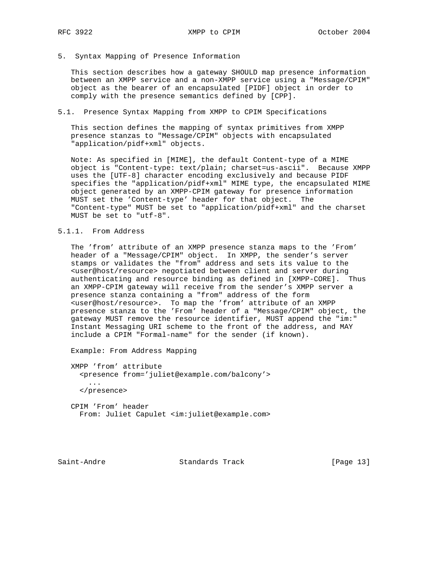## 5. Syntax Mapping of Presence Information

 This section describes how a gateway SHOULD map presence information between an XMPP service and a non-XMPP service using a "Message/CPIM" object as the bearer of an encapsulated [PIDF] object in order to comply with the presence semantics defined by [CPP].

#### 5.1. Presence Syntax Mapping from XMPP to CPIM Specifications

 This section defines the mapping of syntax primitives from XMPP presence stanzas to "Message/CPIM" objects with encapsulated "application/pidf+xml" objects.

 Note: As specified in [MIME], the default Content-type of a MIME object is "Content-type: text/plain; charset=us-ascii". Because XMPP uses the [UTF-8] character encoding exclusively and because PIDF specifies the "application/pidf+xml" MIME type, the encapsulated MIME object generated by an XMPP-CPIM gateway for presence information MUST set the 'Content-type' header for that object. The "Content-type" MUST be set to "application/pidf+xml" and the charset MUST be set to "utf-8".

## 5.1.1. From Address

 The 'from' attribute of an XMPP presence stanza maps to the 'From' header of a "Message/CPIM" object. In XMPP, the sender's server stamps or validates the "from" address and sets its value to the <user@host/resource> negotiated between client and server during authenticating and resource binding as defined in [XMPP-CORE]. Thus an XMPP-CPIM gateway will receive from the sender's XMPP server a presence stanza containing a "from" address of the form <user@host/resource>. To map the 'from' attribute of an XMPP presence stanza to the 'From' header of a "Message/CPIM" object, the gateway MUST remove the resource identifier, MUST append the "im:" Instant Messaging URI scheme to the front of the address, and MAY include a CPIM "Formal-name" for the sender (if known).

Example: From Address Mapping

 XMPP 'from' attribute <presence from='juliet@example.com/balcony'> ... </presence>

 CPIM 'From' header From: Juliet Capulet <im:juliet@example.com>

Saint-Andre Standards Track [Page 13]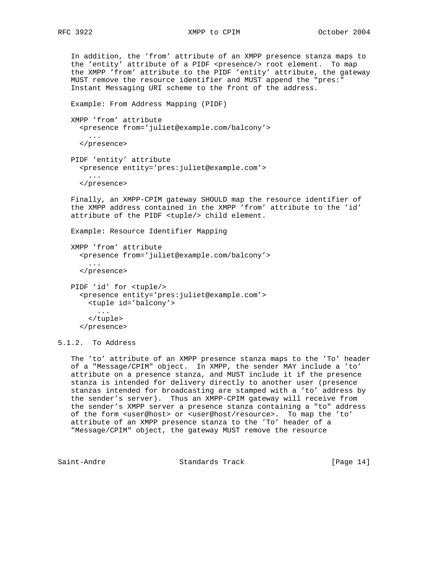In addition, the 'from' attribute of an XMPP presence stanza maps to the 'entity' attribute of a PIDF <presence/> root element. To map the XMPP 'from' attribute to the PIDF 'entity' attribute, the gateway MUST remove the resource identifier and MUST append the "pres:" Instant Messaging URI scheme to the front of the address.

Example: From Address Mapping (PIDF)

 XMPP 'from' attribute <presence from='juliet@example.com/balcony'> ... </presence>

 PIDF 'entity' attribute <presence entity='pres:juliet@example.com'> ... </presence>

 Finally, an XMPP-CPIM gateway SHOULD map the resource identifier of the XMPP address contained in the XMPP 'from' attribute to the 'id' attribute of the PIDF <tuple/> child element.

Example: Resource Identifier Mapping

 XMPP 'from' attribute <presence from='juliet@example.com/balcony'> ... </presence> PIDF 'id' for <tuple/> <presence entity='pres:juliet@example.com'> <tuple id='balcony'> ... </tuple>

```
 </presence>
```
5.1.2. To Address

 The 'to' attribute of an XMPP presence stanza maps to the 'To' header of a "Message/CPIM" object. In XMPP, the sender MAY include a 'to' attribute on a presence stanza, and MUST include it if the presence stanza is intended for delivery directly to another user (presence stanzas intended for broadcasting are stamped with a 'to' address by the sender's server). Thus an XMPP-CPIM gateway will receive from the sender's XMPP server a presence stanza containing a "to" address of the form <user@host> or <user@host/resource>. To map the 'to' attribute of an XMPP presence stanza to the 'To' header of a "Message/CPIM" object, the gateway MUST remove the resource

Saint-Andre Standards Track [Page 14]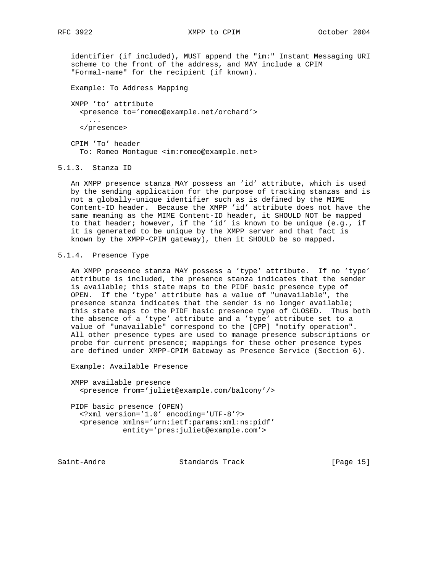identifier (if included), MUST append the "im:" Instant Messaging URI scheme to the front of the address, and MAY include a CPIM "Formal-name" for the recipient (if known).

Example: To Address Mapping

 XMPP 'to' attribute <presence to='romeo@example.net/orchard'> ... </presence>

 CPIM 'To' header To: Romeo Montague <im:romeo@example.net>

5.1.3. Stanza ID

 An XMPP presence stanza MAY possess an 'id' attribute, which is used by the sending application for the purpose of tracking stanzas and is not a globally-unique identifier such as is defined by the MIME Content-ID header. Because the XMPP 'id' attribute does not have the same meaning as the MIME Content-ID header, it SHOULD NOT be mapped to that header; however, if the 'id' is known to be unique (e.g., if it is generated to be unique by the XMPP server and that fact is known by the XMPP-CPIM gateway), then it SHOULD be so mapped.

#### 5.1.4. Presence Type

 An XMPP presence stanza MAY possess a 'type' attribute. If no 'type' attribute is included, the presence stanza indicates that the sender is available; this state maps to the PIDF basic presence type of OPEN. If the 'type' attribute has a value of "unavailable", the presence stanza indicates that the sender is no longer available; this state maps to the PIDF basic presence type of CLOSED. Thus both the absence of a 'type' attribute and a 'type' attribute set to a value of "unavailable" correspond to the [CPP] "notify operation". All other presence types are used to manage presence subscriptions or probe for current presence; mappings for these other presence types are defined under XMPP-CPIM Gateway as Presence Service (Section 6).

Example: Available Presence

 XMPP available presence <presence from='juliet@example.com/balcony'/>

 PIDF basic presence (OPEN) <?xml version='1.0' encoding='UTF-8'?> <presence xmlns='urn:ietf:params:xml:ns:pidf' entity='pres:juliet@example.com'>

Saint-Andre Standards Track [Page 15]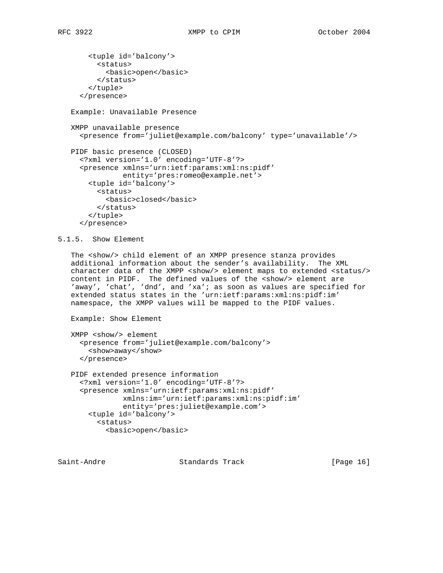```
 <tuple id='balcony'>
      <status>
        <basic>open</basic>
      </status>
    </tuple>
  </presence>
Example: Unavailable Presence
XMPP unavailable presence
  <presence from='juliet@example.com/balcony' type='unavailable'/>
PIDF basic presence (CLOSED)
  <?xml version='1.0' encoding='UTF-8'?>
  <presence xmlns='urn:ietf:params:xml:ns:pidf'
            entity='pres:romeo@example.net'>
    <tuple id='balcony'>
      <status>
        <basic>closed</basic>
      </status>
    </tuple>
  </presence>
```
5.1.5. Show Element

 The <show/> child element of an XMPP presence stanza provides additional information about the sender's availability. The XML character data of the XMPP <show/> element maps to extended <status/> content in PIDF. The defined values of the <show/> element are 'away', 'chat', 'dnd', and 'xa'; as soon as values are specified for extended status states in the 'urn:ietf:params:xml:ns:pidf:im' namespace, the XMPP values will be mapped to the PIDF values.

Example: Show Element

```
 XMPP <show/> element
  <presence from='juliet@example.com/balcony'>
    <show>away</show>
  </presence>
```

```
 PIDF extended presence information
  <?xml version='1.0' encoding='UTF-8'?>
  <presence xmlns='urn:ietf:params:xml:ns:pidf'
            xmlns:im='urn:ietf:params:xml:ns:pidf:im'
            entity='pres:juliet@example.com'>
    <tuple id='balcony'>
      <status>
        <basic>open</basic>
```
Saint-Andre Standards Track [Page 16]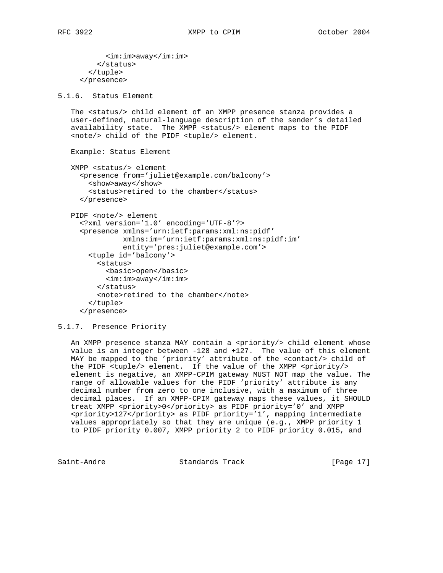<im:im>away</im:im> </status> </tuple> </presence>

5.1.6. Status Element

 The <status/> child element of an XMPP presence stanza provides a user-defined, natural-language description of the sender's detailed availability state. The XMPP <status/> element maps to the PIDF <note/> child of the PIDF <tuple/> element.

```
 Example: Status Element
```

```
 XMPP <status/> element
  <presence from='juliet@example.com/balcony'>
    <show>away</show>
    <status>retired to the chamber</status>
  </presence>
```
PIDF <note/> element

```
 <?xml version='1.0' encoding='UTF-8'?>
<presence xmlns='urn:ietf:params:xml:ns:pidf'
          xmlns:im='urn:ietf:params:xml:ns:pidf:im'
          entity='pres:juliet@example.com'>
  <tuple id='balcony'>
    <status>
      <basic>open</basic>
      <im:im>away</im:im>
    </status>
    <note>retired to the chamber</note>
  </tuple>
</presence>
```

```
5.1.7. Presence Priority
```
 An XMPP presence stanza MAY contain a <priority/> child element whose value is an integer between -128 and +127. The value of this element MAY be mapped to the 'priority' attribute of the <contact/> child of the PIDF <tuple/> element. If the value of the XMPP <priority/> element is negative, an XMPP-CPIM gateway MUST NOT map the value. The range of allowable values for the PIDF 'priority' attribute is any decimal number from zero to one inclusive, with a maximum of three decimal places. If an XMPP-CPIM gateway maps these values, it SHOULD treat XMPP <priority>0</priority> as PIDF priority='0' and XMPP <priority>127</priority> as PIDF priority='1', mapping intermediate values appropriately so that they are unique (e.g., XMPP priority 1 to PIDF priority 0.007, XMPP priority 2 to PIDF priority 0.015, and

Saint-Andre Standards Track [Page 17]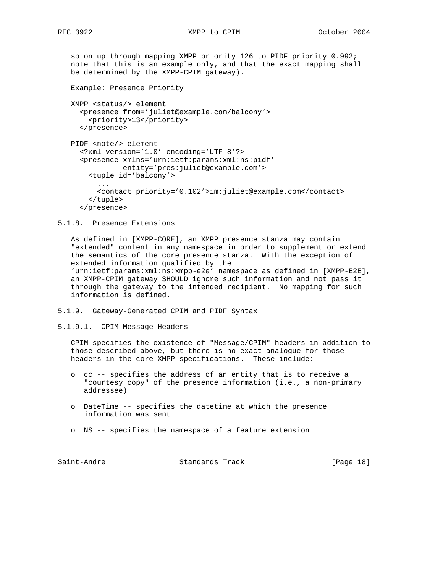so on up through mapping XMPP priority 126 to PIDF priority 0.992; note that this is an example only, and that the exact mapping shall be determined by the XMPP-CPIM gateway).

Example: Presence Priority

```
 XMPP <status/> element
  <presence from='juliet@example.com/balcony'>
    <priority>13</priority>
  </presence>
```

```
 PIDF <note/> element
  <?xml version='1.0' encoding='UTF-8'?>
  <presence xmlns='urn:ietf:params:xml:ns:pidf'
            entity='pres:juliet@example.com'>
    <tuple id='balcony'>
      ...
      <contact priority='0.102'>im:juliet@example.com</contact>
    </tuple>
  </presence>
```

```
5.1.8. Presence Extensions
```
 As defined in [XMPP-CORE], an XMPP presence stanza may contain "extended" content in any namespace in order to supplement or extend the semantics of the core presence stanza. With the exception of extended information qualified by the 'urn:ietf:params:xml:ns:xmpp-e2e' namespace as defined in [XMPP-E2E], an XMPP-CPIM gateway SHOULD ignore such information and not pass it through the gateway to the intended recipient. No mapping for such information is defined.

5.1.9. Gateway-Generated CPIM and PIDF Syntax

5.1.9.1. CPIM Message Headers

 CPIM specifies the existence of "Message/CPIM" headers in addition to those described above, but there is no exact analogue for those headers in the core XMPP specifications. These include:

- o cc -- specifies the address of an entity that is to receive a "courtesy copy" of the presence information (i.e., a non-primary addressee)
- o DateTime -- specifies the datetime at which the presence information was sent
- o NS -- specifies the namespace of a feature extension

Saint-Andre Standards Track [Page 18]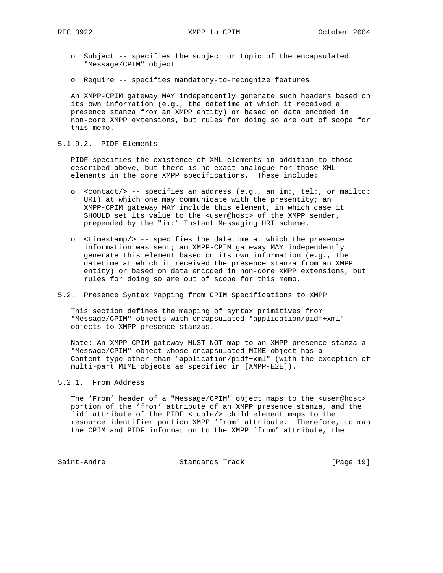- o Subject -- specifies the subject or topic of the encapsulated "Message/CPIM" object
- o Require -- specifies mandatory-to-recognize features

 An XMPP-CPIM gateway MAY independently generate such headers based on its own information (e.g., the datetime at which it received a presence stanza from an XMPP entity) or based on data encoded in non-core XMPP extensions, but rules for doing so are out of scope for this memo.

## 5.1.9.2. PIDF Elements

 PIDF specifies the existence of XML elements in addition to those described above, but there is no exact analogue for those XML elements in the core XMPP specifications. These include:

- o <contact/> -- specifies an address (e.g., an im:, tel:, or mailto: URI) at which one may communicate with the presentity; an XMPP-CPIM gateway MAY include this element, in which case it SHOULD set its value to the <user@host> of the XMPP sender, prepended by the "im:" Instant Messaging URI scheme.
- o <timestamp/> -- specifies the datetime at which the presence information was sent; an XMPP-CPIM gateway MAY independently generate this element based on its own information (e.g., the datetime at which it received the presence stanza from an XMPP entity) or based on data encoded in non-core XMPP extensions, but rules for doing so are out of scope for this memo.

## 5.2. Presence Syntax Mapping from CPIM Specifications to XMPP

 This section defines the mapping of syntax primitives from "Message/CPIM" objects with encapsulated "application/pidf+xml" objects to XMPP presence stanzas.

 Note: An XMPP-CPIM gateway MUST NOT map to an XMPP presence stanza a "Message/CPIM" object whose encapsulated MIME object has a Content-type other than "application/pidf+xml" (with the exception of multi-part MIME objects as specified in [XMPP-E2E]).

## 5.2.1. From Address

 The 'From' header of a "Message/CPIM" object maps to the <user@host> portion of the 'from' attribute of an XMPP presence stanza, and the 'id' attribute of the PIDF <tuple/> child element maps to the resource identifier portion XMPP 'from' attribute. Therefore, to map the CPIM and PIDF information to the XMPP 'from' attribute, the

Saint-Andre Standards Track [Page 19]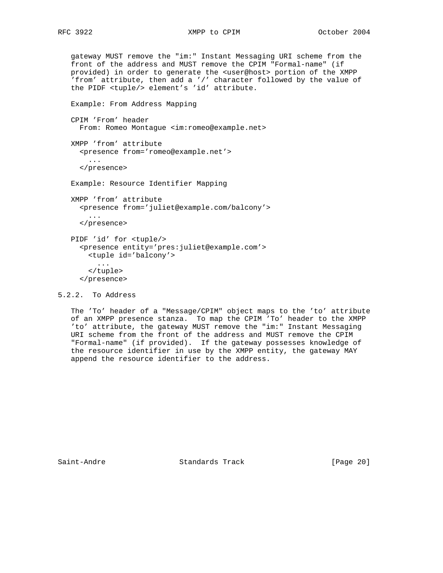# RFC 3922 XMPP to CPIM October 2004

 gateway MUST remove the "im:" Instant Messaging URI scheme from the front of the address and MUST remove the CPIM "Formal-name" (if provided) in order to generate the <user@host> portion of the XMPP 'from' attribute, then add a '/' character followed by the value of the PIDF <tuple/> element's 'id' attribute.

 Example: From Address Mapping CPIM 'From' header From: Romeo Montague <im:romeo@example.net> XMPP 'from' attribute <presence from='romeo@example.net'> ... </presence> Example: Resource Identifier Mapping

 XMPP 'from' attribute <presence from='juliet@example.com/balcony'> ... </presence>

 PIDF 'id' for <tuple/> <presence entity='pres:juliet@example.com'> <tuple id='balcony'> ... </tuple> </presence>

5.2.2. To Address

 The 'To' header of a "Message/CPIM" object maps to the 'to' attribute of an XMPP presence stanza. To map the CPIM 'To' header to the XMPP 'to' attribute, the gateway MUST remove the "im:" Instant Messaging URI scheme from the front of the address and MUST remove the CPIM "Formal-name" (if provided). If the gateway possesses knowledge of the resource identifier in use by the XMPP entity, the gateway MAY append the resource identifier to the address.

Saint-Andre Standards Track [Page 20]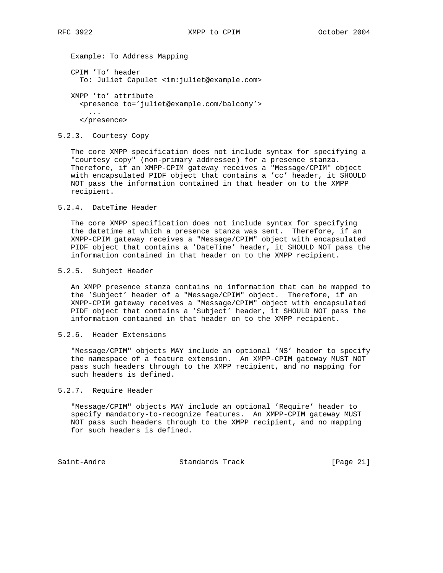Example: To Address Mapping

 CPIM 'To' header To: Juliet Capulet <im:juliet@example.com>

 XMPP 'to' attribute <presence to='juliet@example.com/balcony'> ... </presence>

## 5.2.3. Courtesy Copy

 The core XMPP specification does not include syntax for specifying a "courtesy copy" (non-primary addressee) for a presence stanza. Therefore, if an XMPP-CPIM gateway receives a "Message/CPIM" object with encapsulated PIDF object that contains a 'cc' header, it SHOULD NOT pass the information contained in that header on to the XMPP recipient.

## 5.2.4. DateTime Header

 The core XMPP specification does not include syntax for specifying the datetime at which a presence stanza was sent. Therefore, if an XMPP-CPIM gateway receives a "Message/CPIM" object with encapsulated PIDF object that contains a 'DateTime' header, it SHOULD NOT pass the information contained in that header on to the XMPP recipient.

## 5.2.5. Subject Header

 An XMPP presence stanza contains no information that can be mapped to the 'Subject' header of a "Message/CPIM" object. Therefore, if an XMPP-CPIM gateway receives a "Message/CPIM" object with encapsulated PIDF object that contains a 'Subject' header, it SHOULD NOT pass the information contained in that header on to the XMPP recipient.

## 5.2.6. Header Extensions

 "Message/CPIM" objects MAY include an optional 'NS' header to specify the namespace of a feature extension. An XMPP-CPIM gateway MUST NOT pass such headers through to the XMPP recipient, and no mapping for such headers is defined.

#### 5.2.7. Require Header

 "Message/CPIM" objects MAY include an optional 'Require' header to specify mandatory-to-recognize features. An XMPP-CPIM gateway MUST NOT pass such headers through to the XMPP recipient, and no mapping for such headers is defined.

Saint-Andre Standards Track [Page 21]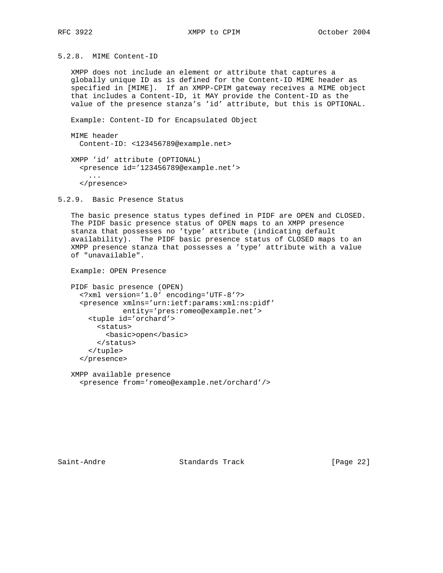5.2.8. MIME Content-ID

 XMPP does not include an element or attribute that captures a globally unique ID as is defined for the Content-ID MIME header as specified in [MIME]. If an XMPP-CPIM gateway receives a MIME object that includes a Content-ID, it MAY provide the Content-ID as the value of the presence stanza's 'id' attribute, but this is OPTIONAL.

Example: Content-ID for Encapsulated Object

 MIME header Content-ID: <123456789@example.net>

 XMPP 'id' attribute (OPTIONAL) <presence id='123456789@example.net'> ... </presence>

5.2.9. Basic Presence Status

 The basic presence status types defined in PIDF are OPEN and CLOSED. The PIDF basic presence status of OPEN maps to an XMPP presence stanza that possesses no 'type' attribute (indicating default availability). The PIDF basic presence status of CLOSED maps to an XMPP presence stanza that possesses a 'type' attribute with a value of "unavailable".

Example: OPEN Presence

```
 PIDF basic presence (OPEN)
 <?xml version='1.0' encoding='UTF-8'?>
  <presence xmlns='urn:ietf:params:xml:ns:pidf'
            entity='pres:romeo@example.net'>
    <tuple id='orchard'>
      <status>
        <basic>open</basic>
      </status>
    </tuple>
  </presence>
```
 XMPP available presence <presence from='romeo@example.net/orchard'/>

Saint-Andre Standards Track [Page 22]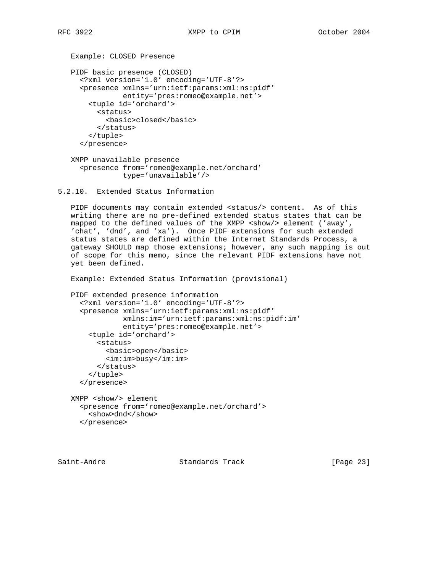Example: CLOSED Presence

```
 PIDF basic presence (CLOSED)
  <?xml version='1.0' encoding='UTF-8'?>
  <presence xmlns='urn:ietf:params:xml:ns:pidf'
            entity='pres:romeo@example.net'>
    <tuple id='orchard'>
      <status>
        <basic>closed</basic>
      </status>
    </tuple>
  </presence>
XMPP unavailable presence
```

```
 <presence from='romeo@example.net/orchard'
         type='unavailable'/>
```

```
5.2.10. Extended Status Information
```
 PIDF documents may contain extended <status/> content. As of this writing there are no pre-defined extended status states that can be mapped to the defined values of the XMPP <show/> element ('away', 'chat', 'dnd', and 'xa'). Once PIDF extensions for such extended status states are defined within the Internet Standards Process, a gateway SHOULD map those extensions; however, any such mapping is out of scope for this memo, since the relevant PIDF extensions have not yet been defined.

Example: Extended Status Information (provisional)

```
 PIDF extended presence information
  <?xml version='1.0' encoding='UTF-8'?>
  <presence xmlns='urn:ietf:params:xml:ns:pidf'
            xmlns:im='urn:ietf:params:xml:ns:pidf:im'
            entity='pres:romeo@example.net'>
    <tuple id='orchard'>
      <status>
        <basic>open</basic>
        <im:im>busy</im:im>
      </status>
    </tuple>
  </presence>
```

```
 XMPP <show/> element
  <presence from='romeo@example.net/orchard'>
    <show>dnd</show>
  </presence>
```
Saint-Andre Standards Track [Page 23]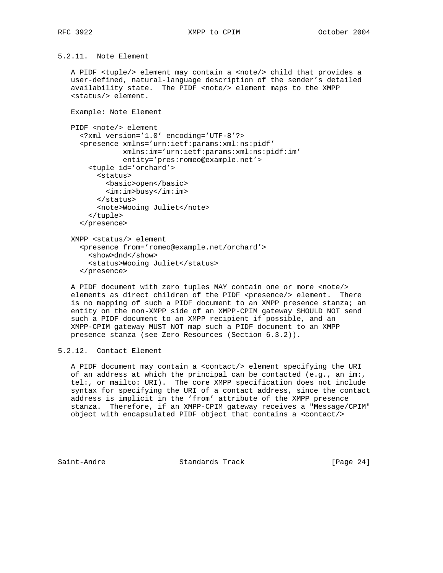5.2.11. Note Element

 A PIDF <tuple/> element may contain a <note/> child that provides a user-defined, natural-language description of the sender's detailed availability state. The PIDF <note/> element maps to the XMPP <status/> element.

Example: Note Element

```
 PIDF <note/> element
  <?xml version='1.0' encoding='UTF-8'?>
  <presence xmlns='urn:ietf:params:xml:ns:pidf'
            xmlns:im='urn:ietf:params:xml:ns:pidf:im'
            entity='pres:romeo@example.net'>
    <tuple id='orchard'>
      <status>
        <basic>open</basic>
        <im:im>busy</im:im>
      </status>
      <note>Wooing Juliet</note>
    </tuple>
  </presence>
```

```
 XMPP <status/> element
  <presence from='romeo@example.net/orchard'>
    <show>dnd</show>
    <status>Wooing Juliet</status>
  </presence>
```
 A PIDF document with zero tuples MAY contain one or more <note/> elements as direct children of the PIDF <presence/> element. There is no mapping of such a PIDF document to an XMPP presence stanza; an entity on the non-XMPP side of an XMPP-CPIM gateway SHOULD NOT send such a PIDF document to an XMPP recipient if possible, and an XMPP-CPIM gateway MUST NOT map such a PIDF document to an XMPP presence stanza (see Zero Resources (Section 6.3.2)).

5.2.12. Contact Element

 A PIDF document may contain a <contact/> element specifying the URI of an address at which the principal can be contacted (e.g., an im:, tel:, or mailto: URI). The core XMPP specification does not include syntax for specifying the URI of a contact address, since the contact address is implicit in the 'from' attribute of the XMPP presence stanza. Therefore, if an XMPP-CPIM gateway receives a "Message/CPIM" object with encapsulated PIDF object that contains a <contact/>

Saint-Andre Standards Track [Page 24]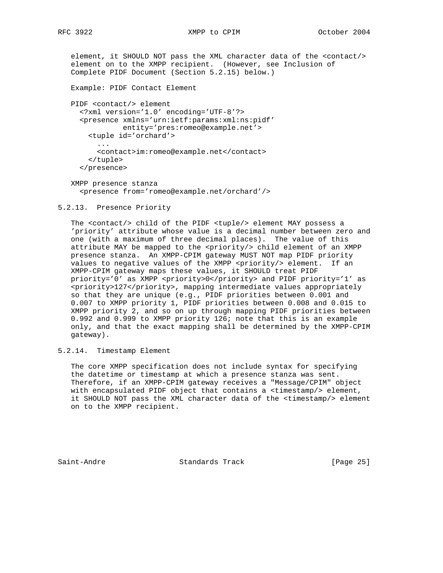element, it SHOULD NOT pass the XML character data of the <contact/> element on to the XMPP recipient. (However, see Inclusion of Complete PIDF Document (Section 5.2.15) below.) Example: PIDF Contact Element PIDF <contact/> element <?xml version='1.0' encoding='UTF-8'?> <presence xmlns='urn:ietf:params:xml:ns:pidf' entity='pres:romeo@example.net'> <tuple id='orchard'> ... <contact>im:romeo@example.net</contact> </tuple> </presence> XMPP presence stanza

<presence from='romeo@example.net/orchard'/>

#### 5.2.13. Presence Priority

 The <contact/> child of the PIDF <tuple/> element MAY possess a 'priority' attribute whose value is a decimal number between zero and one (with a maximum of three decimal places). The value of this attribute MAY be mapped to the <priority/> child element of an XMPP presence stanza. An XMPP-CPIM gateway MUST NOT map PIDF priority values to negative values of the XMPP <priority/> element. If an XMPP-CPIM gateway maps these values, it SHOULD treat PIDF priority='0' as XMPP <priority>0</priority> and PIDF priority='1' as <priority>127</priority>, mapping intermediate values appropriately so that they are unique (e.g., PIDF priorities between 0.001 and 0.007 to XMPP priority 1, PIDF priorities between 0.008 and 0.015 to XMPP priority 2, and so on up through mapping PIDF priorities between 0.992 and 0.999 to XMPP priority 126; note that this is an example only, and that the exact mapping shall be determined by the XMPP-CPIM gateway).

5.2.14. Timestamp Element

 The core XMPP specification does not include syntax for specifying the datetime or timestamp at which a presence stanza was sent. Therefore, if an XMPP-CPIM gateway receives a "Message/CPIM" object with encapsulated PIDF object that contains a <timestamp/> element, it SHOULD NOT pass the XML character data of the <timestamp/> element on to the XMPP recipient.

Saint-Andre Standards Track [Page 25]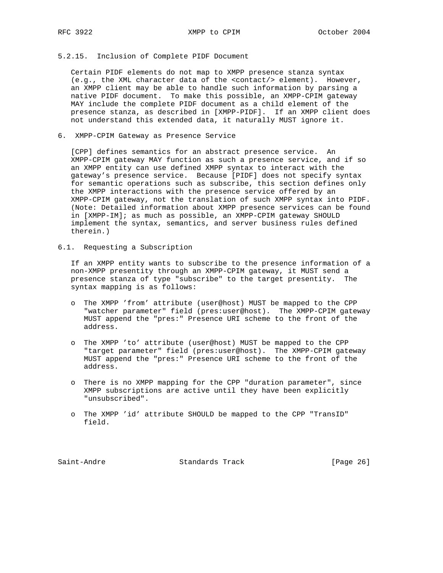## 5.2.15. Inclusion of Complete PIDF Document

 Certain PIDF elements do not map to XMPP presence stanza syntax (e.g., the XML character data of the <contact/> element). However, an XMPP client may be able to handle such information by parsing a native PIDF document. To make this possible, an XMPP-CPIM gateway MAY include the complete PIDF document as a child element of the presence stanza, as described in [XMPP-PIDF]. If an XMPP client does not understand this extended data, it naturally MUST ignore it.

6. XMPP-CPIM Gateway as Presence Service

 [CPP] defines semantics for an abstract presence service. An XMPP-CPIM gateway MAY function as such a presence service, and if so an XMPP entity can use defined XMPP syntax to interact with the gateway's presence service. Because [PIDF] does not specify syntax for semantic operations such as subscribe, this section defines only the XMPP interactions with the presence service offered by an XMPP-CPIM gateway, not the translation of such XMPP syntax into PIDF. (Note: Detailed information about XMPP presence services can be found in [XMPP-IM]; as much as possible, an XMPP-CPIM gateway SHOULD implement the syntax, semantics, and server business rules defined therein.)

6.1. Requesting a Subscription

 If an XMPP entity wants to subscribe to the presence information of a non-XMPP presentity through an XMPP-CPIM gateway, it MUST send a presence stanza of type "subscribe" to the target presentity. The syntax mapping is as follows:

- o The XMPP 'from' attribute (user@host) MUST be mapped to the CPP "watcher parameter" field (pres:user@host). The XMPP-CPIM gateway MUST append the "pres:" Presence URI scheme to the front of the address.
- o The XMPP 'to' attribute (user@host) MUST be mapped to the CPP "target parameter" field (pres:user@host). The XMPP-CPIM gateway MUST append the "pres:" Presence URI scheme to the front of the address.
- o There is no XMPP mapping for the CPP "duration parameter", since XMPP subscriptions are active until they have been explicitly "unsubscribed".
- o The XMPP 'id' attribute SHOULD be mapped to the CPP "TransID" field.

Saint-Andre Standards Track [Page 26]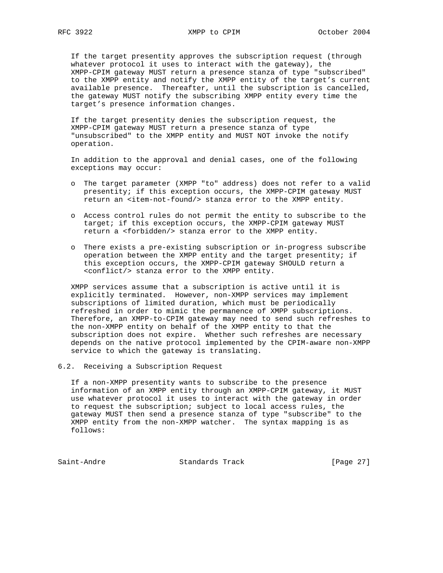If the target presentity approves the subscription request (through whatever protocol it uses to interact with the gateway), the XMPP-CPIM gateway MUST return a presence stanza of type "subscribed" to the XMPP entity and notify the XMPP entity of the target's current available presence. Thereafter, until the subscription is cancelled, the gateway MUST notify the subscribing XMPP entity every time the target's presence information changes.

 If the target presentity denies the subscription request, the XMPP-CPIM gateway MUST return a presence stanza of type "unsubscribed" to the XMPP entity and MUST NOT invoke the notify operation.

 In addition to the approval and denial cases, one of the following exceptions may occur:

- o The target parameter (XMPP "to" address) does not refer to a valid presentity; if this exception occurs, the XMPP-CPIM gateway MUST return an <item-not-found/> stanza error to the XMPP entity.
- o Access control rules do not permit the entity to subscribe to the target; if this exception occurs, the XMPP-CPIM gateway MUST return a <forbidden/> stanza error to the XMPP entity.
- o There exists a pre-existing subscription or in-progress subscribe operation between the XMPP entity and the target presentity; if this exception occurs, the XMPP-CPIM gateway SHOULD return a <conflict/> stanza error to the XMPP entity.

 XMPP services assume that a subscription is active until it is explicitly terminated. However, non-XMPP services may implement subscriptions of limited duration, which must be periodically refreshed in order to mimic the permanence of XMPP subscriptions. Therefore, an XMPP-to-CPIM gateway may need to send such refreshes to the non-XMPP entity on behalf of the XMPP entity to that the subscription does not expire. Whether such refreshes are necessary depends on the native protocol implemented by the CPIM-aware non-XMPP service to which the gateway is translating.

6.2. Receiving a Subscription Request

 If a non-XMPP presentity wants to subscribe to the presence information of an XMPP entity through an XMPP-CPIM gateway, it MUST use whatever protocol it uses to interact with the gateway in order to request the subscription; subject to local access rules, the gateway MUST then send a presence stanza of type "subscribe" to the XMPP entity from the non-XMPP watcher. The syntax mapping is as follows:

Saint-Andre Standards Track [Page 27]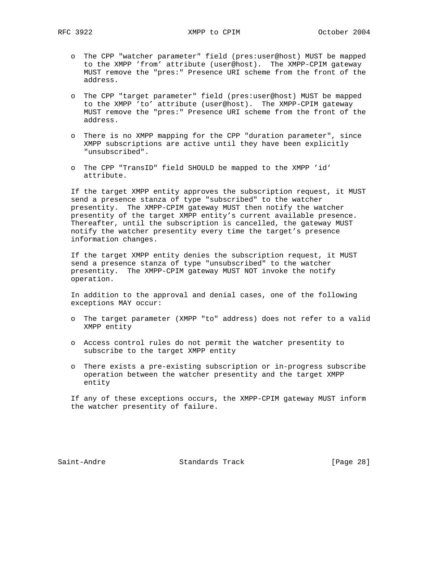- o The CPP "watcher parameter" field (pres:user@host) MUST be mapped to the XMPP 'from' attribute (user@host). The XMPP-CPIM gateway MUST remove the "pres:" Presence URI scheme from the front of the address.
- o The CPP "target parameter" field (pres:user@host) MUST be mapped to the XMPP 'to' attribute (user@host). The XMPP-CPIM gateway MUST remove the "pres:" Presence URI scheme from the front of the address.
- o There is no XMPP mapping for the CPP "duration parameter", since XMPP subscriptions are active until they have been explicitly "unsubscribed".
- o The CPP "TransID" field SHOULD be mapped to the XMPP 'id' attribute.

 If the target XMPP entity approves the subscription request, it MUST send a presence stanza of type "subscribed" to the watcher presentity. The XMPP-CPIM gateway MUST then notify the watcher presentity of the target XMPP entity's current available presence. Thereafter, until the subscription is cancelled, the gateway MUST notify the watcher presentity every time the target's presence information changes.

 If the target XMPP entity denies the subscription request, it MUST send a presence stanza of type "unsubscribed" to the watcher presentity. The XMPP-CPIM gateway MUST NOT invoke the notify operation.

 In addition to the approval and denial cases, one of the following exceptions MAY occur:

- o The target parameter (XMPP "to" address) does not refer to a valid XMPP entity
- o Access control rules do not permit the watcher presentity to subscribe to the target XMPP entity
- o There exists a pre-existing subscription or in-progress subscribe operation between the watcher presentity and the target XMPP entity

 If any of these exceptions occurs, the XMPP-CPIM gateway MUST inform the watcher presentity of failure.

Saint-Andre Standards Track [Page 28]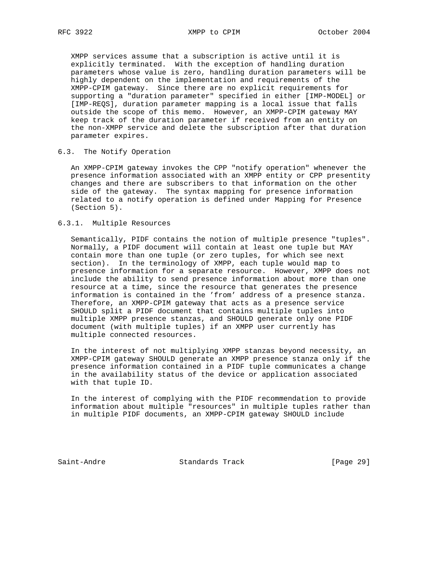XMPP services assume that a subscription is active until it is explicitly terminated. With the exception of handling duration parameters whose value is zero, handling duration parameters will be highly dependent on the implementation and requirements of the XMPP-CPIM gateway. Since there are no explicit requirements for supporting a "duration parameter" specified in either [IMP-MODEL] or [IMP-REQS], duration parameter mapping is a local issue that falls outside the scope of this memo. However, an XMPP-CPIM gateway MAY keep track of the duration parameter if received from an entity on the non-XMPP service and delete the subscription after that duration parameter expires.

## 6.3. The Notify Operation

 An XMPP-CPIM gateway invokes the CPP "notify operation" whenever the presence information associated with an XMPP entity or CPP presentity changes and there are subscribers to that information on the other side of the gateway. The syntax mapping for presence information related to a notify operation is defined under Mapping for Presence (Section 5).

## 6.3.1. Multiple Resources

 Semantically, PIDF contains the notion of multiple presence "tuples". Normally, a PIDF document will contain at least one tuple but MAY contain more than one tuple (or zero tuples, for which see next section). In the terminology of XMPP, each tuple would map to presence information for a separate resource. However, XMPP does not include the ability to send presence information about more than one resource at a time, since the resource that generates the presence information is contained in the 'from' address of a presence stanza. Therefore, an XMPP-CPIM gateway that acts as a presence service SHOULD split a PIDF document that contains multiple tuples into multiple XMPP presence stanzas, and SHOULD generate only one PIDF document (with multiple tuples) if an XMPP user currently has multiple connected resources.

 In the interest of not multiplying XMPP stanzas beyond necessity, an XMPP-CPIM gateway SHOULD generate an XMPP presence stanza only if the presence information contained in a PIDF tuple communicates a change in the availability status of the device or application associated with that tuple ID.

 In the interest of complying with the PIDF recommendation to provide information about multiple "resources" in multiple tuples rather than in multiple PIDF documents, an XMPP-CPIM gateway SHOULD include

Saint-Andre Standards Track [Page 29]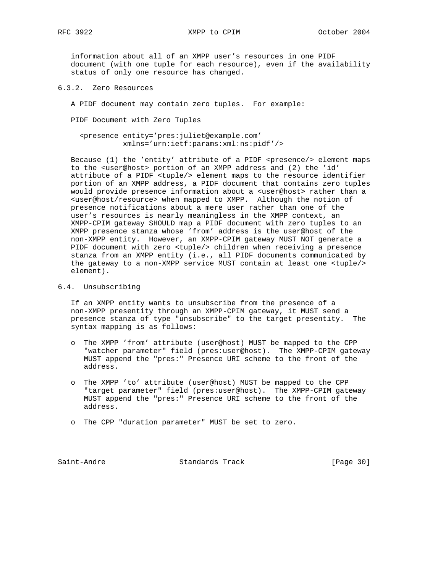information about all of an XMPP user's resources in one PIDF document (with one tuple for each resource), even if the availability status of only one resource has changed.

6.3.2. Zero Resources

A PIDF document may contain zero tuples. For example:

PIDF Document with Zero Tuples

 <presence entity='pres:juliet@example.com' xmlns='urn:ietf:params:xml:ns:pidf'/>

Because (1) the 'entity' attribute of a PIDF <presence/> element maps to the <user@host> portion of an XMPP address and (2) the 'id' attribute of a PIDF <tuple/> element maps to the resource identifier portion of an XMPP address, a PIDF document that contains zero tuples would provide presence information about a <user@host> rather than a <user@host/resource> when mapped to XMPP. Although the notion of presence notifications about a mere user rather than one of the user's resources is nearly meaningless in the XMPP context, an XMPP-CPIM gateway SHOULD map a PIDF document with zero tuples to an XMPP presence stanza whose 'from' address is the user@host of the non-XMPP entity. However, an XMPP-CPIM gateway MUST NOT generate a PIDF document with zero <tuple/> children when receiving a presence stanza from an XMPP entity (i.e., all PIDF documents communicated by the gateway to a non-XMPP service MUST contain at least one <tuple/> element).

## 6.4. Unsubscribing

 If an XMPP entity wants to unsubscribe from the presence of a non-XMPP presentity through an XMPP-CPIM gateway, it MUST send a presence stanza of type "unsubscribe" to the target presentity. The syntax mapping is as follows:

- o The XMPP 'from' attribute (user@host) MUST be mapped to the CPP "watcher parameter" field (pres:user@host). The XMPP-CPIM gateway MUST append the "pres:" Presence URI scheme to the front of the address.
- o The XMPP 'to' attribute (user@host) MUST be mapped to the CPP "target parameter" field (pres:user@host). The XMPP-CPIM gateway MUST append the "pres:" Presence URI scheme to the front of the address.
- o The CPP "duration parameter" MUST be set to zero.

Saint-Andre Standards Track [Page 30]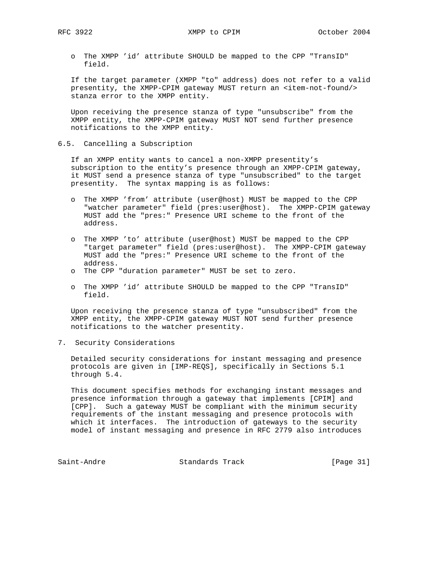o The XMPP 'id' attribute SHOULD be mapped to the CPP "TransID" field.

 If the target parameter (XMPP "to" address) does not refer to a valid presentity, the XMPP-CPIM gateway MUST return an <item-not-found/> stanza error to the XMPP entity.

 Upon receiving the presence stanza of type "unsubscribe" from the XMPP entity, the XMPP-CPIM gateway MUST NOT send further presence notifications to the XMPP entity.

6.5. Cancelling a Subscription

 If an XMPP entity wants to cancel a non-XMPP presentity's subscription to the entity's presence through an XMPP-CPIM gateway, it MUST send a presence stanza of type "unsubscribed" to the target presentity. The syntax mapping is as follows:

- o The XMPP 'from' attribute (user@host) MUST be mapped to the CPP "watcher parameter" field (pres:user@host). The XMPP-CPIM gateway MUST add the "pres:" Presence URI scheme to the front of the address.
- o The XMPP 'to' attribute (user@host) MUST be mapped to the CPP "target parameter" field (pres:user@host). The XMPP-CPIM gateway MUST add the "pres:" Presence URI scheme to the front of the address.
- o The CPP "duration parameter" MUST be set to zero.
- o The XMPP 'id' attribute SHOULD be mapped to the CPP "TransID" field.

 Upon receiving the presence stanza of type "unsubscribed" from the XMPP entity, the XMPP-CPIM gateway MUST NOT send further presence notifications to the watcher presentity.

7. Security Considerations

 Detailed security considerations for instant messaging and presence protocols are given in [IMP-REQS], specifically in Sections 5.1 through 5.4.

 This document specifies methods for exchanging instant messages and presence information through a gateway that implements [CPIM] and [CPP]. Such a gateway MUST be compliant with the minimum security requirements of the instant messaging and presence protocols with which it interfaces. The introduction of gateways to the security model of instant messaging and presence in RFC 2779 also introduces

Saint-Andre Standards Track [Page 31]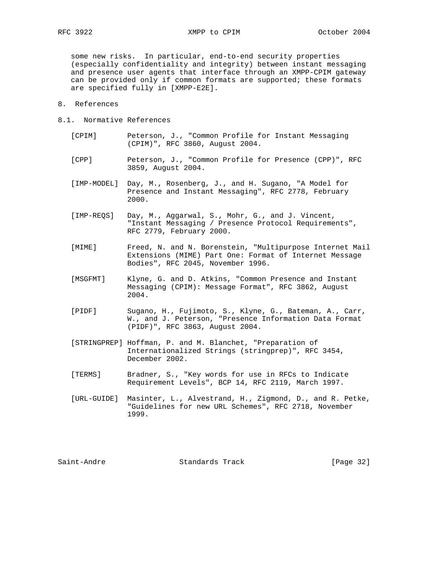some new risks. In particular, end-to-end security properties (especially confidentiality and integrity) between instant messaging and presence user agents that interface through an XMPP-CPIM gateway can be provided only if common formats are supported; these formats are specified fully in [XMPP-E2E].

- 8. References
- 8.1. Normative References
	- [CPIM] Peterson, J., "Common Profile for Instant Messaging (CPIM)", RFC 3860, August 2004.
	- [CPP] Peterson, J., "Common Profile for Presence (CPP)", RFC 3859, August 2004.
	- [IMP-MODEL] Day, M., Rosenberg, J., and H. Sugano, "A Model for Presence and Instant Messaging", RFC 2778, February 2000.
	- [IMP-REQS] Day, M., Aggarwal, S., Mohr, G., and J. Vincent, "Instant Messaging / Presence Protocol Requirements", RFC 2779, February 2000.
	- [MIME] Freed, N. and N. Borenstein, "Multipurpose Internet Mail Extensions (MIME) Part One: Format of Internet Message Bodies", RFC 2045, November 1996.
	- [MSGFMT] Klyne, G. and D. Atkins, "Common Presence and Instant Messaging (CPIM): Message Format", RFC 3862, August 2004.
	- [PIDF] Sugano, H., Fujimoto, S., Klyne, G., Bateman, A., Carr, W., and J. Peterson, "Presence Information Data Format (PIDF)", RFC 3863, August 2004.
	- [STRINGPREP] Hoffman, P. and M. Blanchet, "Preparation of Internationalized Strings (stringprep)", RFC 3454, December 2002.
	- [TERMS] Bradner, S., "Key words for use in RFCs to Indicate Requirement Levels", BCP 14, RFC 2119, March 1997.
	- [URL-GUIDE] Masinter, L., Alvestrand, H., Zigmond, D., and R. Petke, "Guidelines for new URL Schemes", RFC 2718, November 1999.

Saint-Andre Standards Track [Page 32]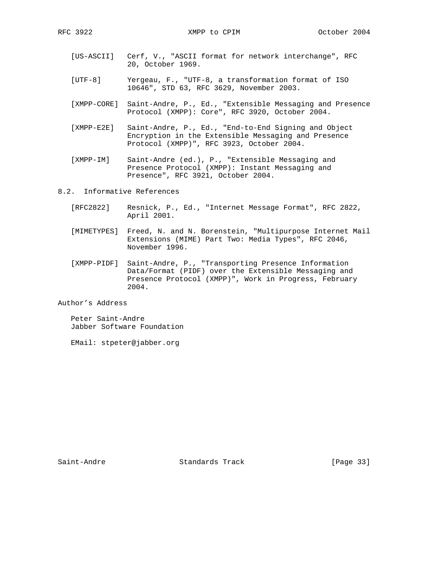- [US-ASCII] Cerf, V., "ASCII format for network interchange", RFC 20, October 1969.
- [UTF-8] Yergeau, F., "UTF-8, a transformation format of ISO 10646", STD 63, RFC 3629, November 2003.
- [XMPP-CORE] Saint-Andre, P., Ed., "Extensible Messaging and Presence Protocol (XMPP): Core", RFC 3920, October 2004.
- [XMPP-E2E] Saint-Andre, P., Ed., "End-to-End Signing and Object Encryption in the Extensible Messaging and Presence Protocol (XMPP)", RFC 3923, October 2004.
- [XMPP-IM] Saint-Andre (ed.), P., "Extensible Messaging and Presence Protocol (XMPP): Instant Messaging and Presence", RFC 3921, October 2004.
- 8.2. Informative References
	- [RFC2822] Resnick, P., Ed., "Internet Message Format", RFC 2822, April 2001.
	- [MIMETYPES] Freed, N. and N. Borenstein, "Multipurpose Internet Mail Extensions (MIME) Part Two: Media Types", RFC 2046, November 1996.
	- [XMPP-PIDF] Saint-Andre, P., "Transporting Presence Information Data/Format (PIDF) over the Extensible Messaging and Presence Protocol (XMPP)", Work in Progress, February 2004.

Author's Address

 Peter Saint-Andre Jabber Software Foundation

EMail: stpeter@jabber.org

Saint-Andre Standards Track [Page 33]